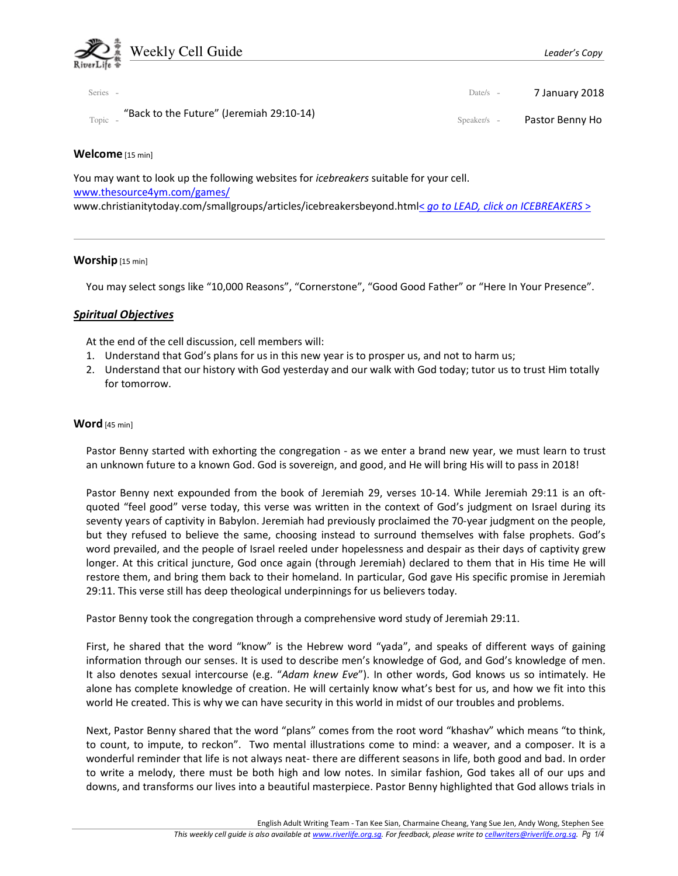

| Series -                                            | Date/s $-$    | 7 January 2018  |
|-----------------------------------------------------|---------------|-----------------|
| "Back to the Future" (Jeremiah 29:10-14)<br>Topic - | $Speaker/s -$ | Pastor Benny Ho |

# Welcome [15 min]

You may want to look up the following websites for *icebreakers* suitable for your cell. www.thesource4ym.com/games/ www.christianitytoday.com/smallgroups/articles/icebreakersbeyond.html< go to LEAD, click on ICEBREAKERS >

## Worship [15 min]

You may select songs like "10,000 Reasons", "Cornerstone", "Good Good Father" or "Here In Your Presence".

## Spiritual Objectives

At the end of the cell discussion, cell members will:

- 1. Understand that God's plans for us in this new year is to prosper us, and not to harm us;
- 2. Understand that our history with God yesterday and our walk with God today; tutor us to trust Him totally for tomorrow.

### Word [45 min]

Pastor Benny started with exhorting the congregation - as we enter a brand new year, we must learn to trust an unknown future to a known God. God is sovereign, and good, and He will bring His will to pass in 2018!

Pastor Benny next expounded from the book of Jeremiah 29, verses 10-14. While Jeremiah 29:11 is an oftquoted "feel good" verse today, this verse was written in the context of God's judgment on Israel during its seventy years of captivity in Babylon. Jeremiah had previously proclaimed the 70-year judgment on the people, but they refused to believe the same, choosing instead to surround themselves with false prophets. God's word prevailed, and the people of Israel reeled under hopelessness and despair as their days of captivity grew longer. At this critical juncture, God once again (through Jeremiah) declared to them that in His time He will restore them, and bring them back to their homeland. In particular, God gave His specific promise in Jeremiah 29:11. This verse still has deep theological underpinnings for us believers today.

Pastor Benny took the congregation through a comprehensive word study of Jeremiah 29:11.

First, he shared that the word "know" is the Hebrew word "yada", and speaks of different ways of gaining information through our senses. It is used to describe men's knowledge of God, and God's knowledge of men. It also denotes sexual intercourse (e.g. "Adam knew Eve"). In other words, God knows us so intimately. He alone has complete knowledge of creation. He will certainly know what's best for us, and how we fit into this world He created. This is why we can have security in this world in midst of our troubles and problems.

Next, Pastor Benny shared that the word "plans" comes from the root word "khashav" which means "to think, to count, to impute, to reckon". Two mental illustrations come to mind: a weaver, and a composer. It is a wonderful reminder that life is not always neat- there are different seasons in life, both good and bad. In order to write a melody, there must be both high and low notes. In similar fashion, God takes all of our ups and downs, and transforms our lives into a beautiful masterpiece. Pastor Benny highlighted that God allows trials in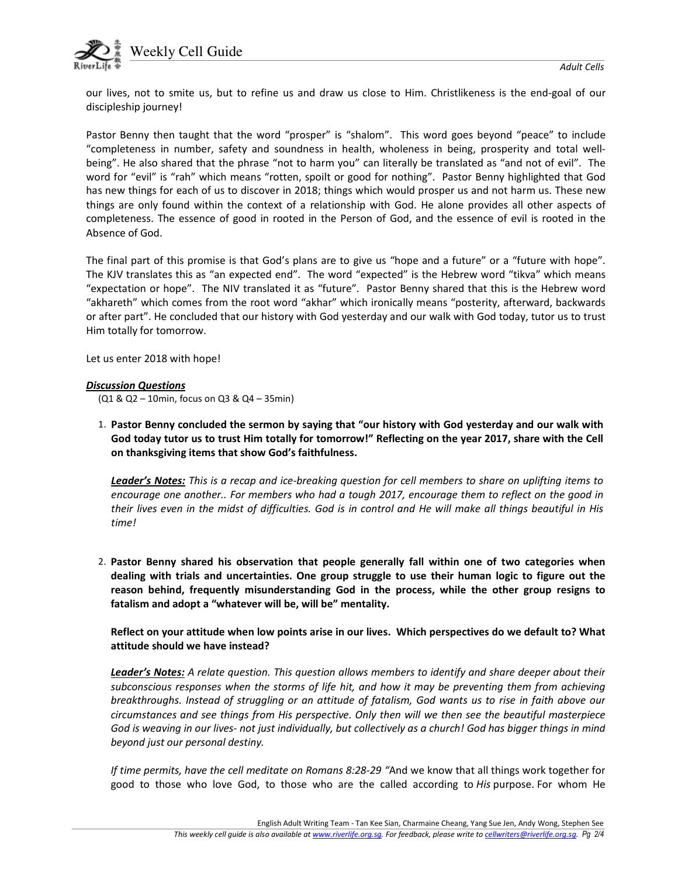

our lives, not to smite us, but to refine us and draw us close to Him. Christlikeness is the end-goal of our discipleship journey!

Pastor Benny then taught that the word "prosper" is "shalom". This word goes beyond "peace" to include "completeness in number, safety and soundness in health, wholeness in being, prosperity and total wellbeing". He also shared that the phrase "not to harm you" can literally be translated as "and not of evil". The word for "evil" is "rah" which means "rotten, spoilt or good for nothing". Pastor Benny highlighted that God has new things for each of us to discover in 2018; things which would prosper us and not harm us. These new things are only found within the context of a relationship with God. He alone provides all other aspects of completeness. The essence of good in rooted in the Person of God, and the essence of evil is rooted in the Absence of God.

The final part of this promise is that God's plans are to give us "hope and a future" or a "future with hope". The KJV translates this as "an expected end". The word "expected" is the Hebrew word "tikva" which means "expectation or hope". The NIV translated it as "future". Pastor Benny shared that this is the Hebrew word "akhareth" which comes from the root word "akhar" which ironically means "posterity, afterward, backwards or after part". He concluded that our history with God yesterday and our walk with God today, tutor us to trust Him totally for tomorrow.

Let us enter 2018 with hope!

#### Discussion Questions

(Q1 & Q2 – 10min, focus on Q3 & Q4 – 35min)

1. Pastor Benny concluded the sermon by saying that "our history with God yesterday and our walk with God today tutor us to trust Him totally for tomorrow!" Reflecting on the year 2017, share with the Cell on thanksgiving items that show God's faithfulness.

**Leader's Notes:** This is a recap and ice-breaking question for cell members to share on uplifting items to encourage one another.. For members who had a tough 2017, encourage them to reflect on the good in their lives even in the midst of difficulties. God is in control and He will make all things beautiful in His time!

2. Pastor Benny shared his observation that people generally fall within one of two categories when dealing with trials and uncertainties. One group struggle to use their human logic to figure out the reason behind, frequently misunderstanding God in the process, while the other group resigns to fatalism and adopt a "whatever will be, will be" mentality.

Reflect on your attitude when low points arise in our lives. Which perspectives do we default to? What attitude should we have instead?

Leader's Notes: A relate question. This question allows members to identify and share deeper about their subconscious responses when the storms of life hit, and how it may be preventing them from achieving breakthroughs. Instead of struggling or an attitude of fatalism, God wants us to rise in faith above our circumstances and see things from His perspective. Only then will we then see the beautiful masterpiece God is weaving in our lives- not just individually, but collectively as a church! God has bigger things in mind beyond just our personal destiny.

If time permits, have the cell meditate on Romans 8:28-29 "And we know that all things work together for good to those who love God, to those who are the called according to His purpose. For whom He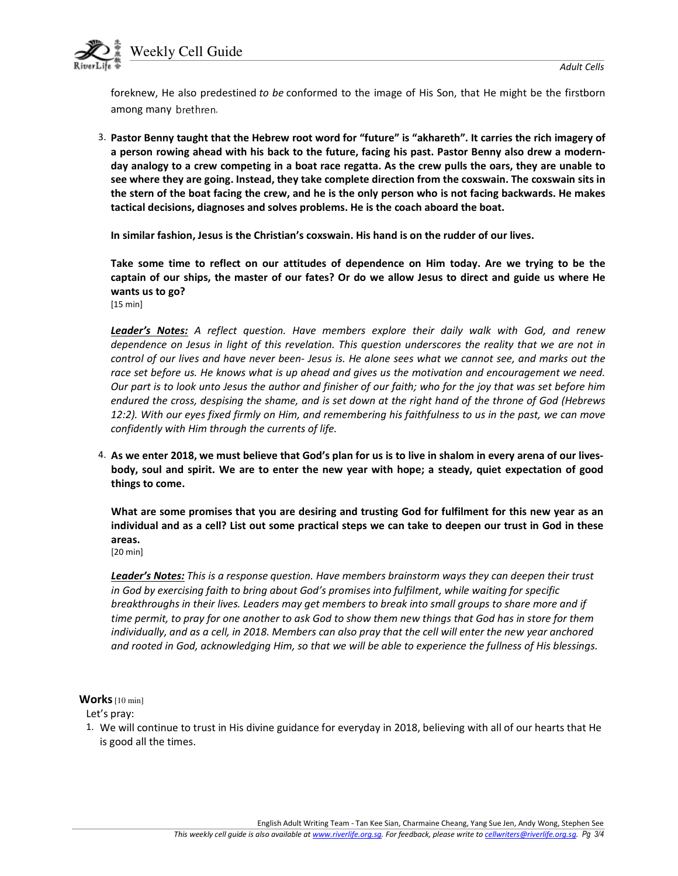

foreknew, He also predestined to be conformed to the image of His Son, that He might be the firstborn among many brethren.

3. Pastor Benny taught that the Hebrew root word for "future" is "akhareth". It carries the rich imagery of a person rowing ahead with his back to the future, facing his past. Pastor Benny also drew a modernday analogy to a crew competing in a boat race regatta. As the crew pulls the oars, they are unable to see where they are going. Instead, they take complete direction from the coxswain. The coxswain sits in the stern of the boat facing the crew, and he is the only person who is not facing backwards. He makes tactical decisions, diagnoses and solves problems. He is the coach aboard the boat.

In similar fashion, Jesus is the Christian's coxswain. His hand is on the rudder of our lives.

Take some time to reflect on our attitudes of dependence on Him today. Are we trying to be the captain of our ships, the master of our fates? Or do we allow Jesus to direct and guide us where He wants us to go? [15 min]

Leader's Notes: A reflect question. Have members explore their daily walk with God, and renew dependence on Jesus in light of this revelation. This question underscores the reality that we are not in control of our lives and have never been- Jesus is. He alone sees what we cannot see, and marks out the race set before us. He knows what is up ahead and gives us the motivation and encouragement we need. Our part is to look unto Jesus the author and finisher of our faith; who for the joy that was set before him endured the cross, despising the shame, and is set down at the right hand of the throne of God (Hebrews 12:2). With our eyes fixed firmly on Him, and remembering his faithfulness to us in the past, we can move confidently with Him through the currents of life.

4. As we enter 2018, we must believe that God's plan for us is to live in shalom in every arena of our livesbody, soul and spirit. We are to enter the new year with hope; a steady, quiet expectation of good things to come.

What are some promises that you are desiring and trusting God for fulfilment for this new year as an individual and as a cell? List out some practical steps we can take to deepen our trust in God in these areas.

[20 min]

Leader's Notes: This is a response question. Have members brainstorm ways they can deepen their trust in God by exercising faith to bring about God's promises into fulfilment, while waiting for specific breakthroughs in their lives. Leaders may get members to break into small groups to share more and if time permit, to pray for one another to ask God to show them new things that God has in store for them individually, and as a cell, in 2018. Members can also pray that the cell will enter the new year anchored and rooted in God, acknowledging Him, so that we will be able to experience the fullness of His blessings.

#### Works [10 min]

Let's pray:

1. We will continue to trust in His divine guidance for everyday in 2018, believing with all of our hearts that He is good all the times.